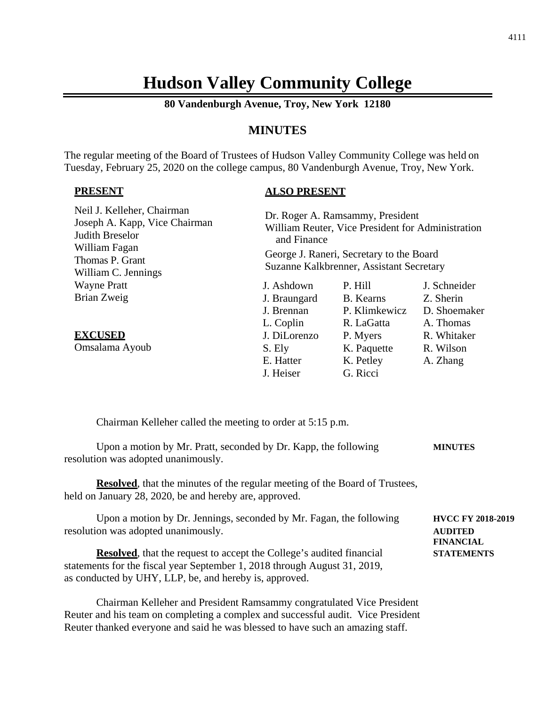# **Hudson Valley Community College**

**80 Vandenburgh Avenue, Troy, New York 12180**

# **MINUTES**

The regular meeting of the Board of Trustees of Hudson Valley Community College was held on Tuesday, February 25, 2020 on the college campus, 80 Vandenburgh Avenue, Troy, New York.

#### **PRESENT**

# **ALSO PRESENT**

| Neil J. Kelleher, Chairman<br>Joseph A. Kapp, Vice Chairman<br>Judith Breselor<br>William Fagan<br>Thomas P. Grant<br>William C. Jennings | Dr. Roger A. Ramsammy, President<br>William Reuter, Vice President for Administration<br>and Finance<br>George J. Raneri, Secretary to the Board<br>Suzanne Kalkbrenner, Assistant Secretary |                  |              |
|-------------------------------------------------------------------------------------------------------------------------------------------|----------------------------------------------------------------------------------------------------------------------------------------------------------------------------------------------|------------------|--------------|
| <b>Wayne Pratt</b>                                                                                                                        | J. Ashdown                                                                                                                                                                                   | P. Hill          | J. Schneider |
| Brian Zweig                                                                                                                               | J. Braungard                                                                                                                                                                                 | <b>B.</b> Kearns | Z. Sherin    |
|                                                                                                                                           | J. Brennan                                                                                                                                                                                   | P. Klimkewicz    | D. Shoemaker |
|                                                                                                                                           | L. Coplin                                                                                                                                                                                    | R. LaGatta       | A. Thomas    |
| <b>EXCUSED</b>                                                                                                                            | J. DiLorenzo                                                                                                                                                                                 | P. Myers         | R. Whitaker  |
| Omsalama Ayoub                                                                                                                            | S. Ely                                                                                                                                                                                       | K. Paquette      | R. Wilson    |
|                                                                                                                                           | E. Hatter                                                                                                                                                                                    | K. Petley        | A. Zhang     |
|                                                                                                                                           | J. Heiser                                                                                                                                                                                    | G. Ricci         |              |

Chairman Kelleher called the meeting to order at 5:15 p.m.

Upon a motion by Mr. Pratt, seconded by Dr. Kapp, the following **MINUTES** resolution was adopted unanimously.

**Resolved**, that the minutes of the regular meeting of the Board of Trustees, held on January 28, 2020, be and hereby are, approved.

Upon a motion by Dr. Jennings, seconded by Mr. Fagan, the following **HVCC FY 2018-2019** resolution was adopted unanimously. **AUDITED**

**Resolved**, that the request to accept the College's audited financial **STATEMENTS** statements for the fiscal year September 1, 2018 through August 31, 2019, as conducted by UHY, LLP, be, and hereby is, approved.

Chairman Kelleher and President Ramsammy congratulated Vice President Reuter and his team on completing a complex and successful audit. Vice President Reuter thanked everyone and said he was blessed to have such an amazing staff.

**FINANCIAL**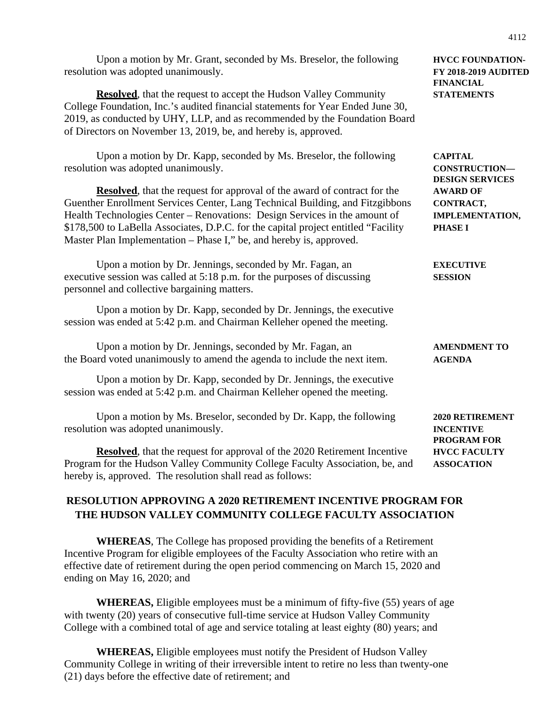| <b>CAPITAL</b><br><b>CONSTRUCTION-</b><br><b>DESIGN SERVICES</b><br><b>AWARD OF</b><br>CONTRACT,<br><b>IMPLEMENTATION,</b><br><b>PHASE I</b> |
|----------------------------------------------------------------------------------------------------------------------------------------------|
| <b>EXECUTIVE</b><br><b>SESSION</b>                                                                                                           |
| <b>AMENDMENT TO</b>                                                                                                                          |
| <b>AGENDA</b>                                                                                                                                |
| 2020 RETIREMENT<br><b>INCENTIVE</b><br>PROGRAM FOR<br><b>HVCC FACULTY</b><br><b>ASSOCATION</b>                                               |
|                                                                                                                                              |

# **RESOLUTION APPROVING A 2020 RETIREMENT INCENTIVE PROGRAM FOR THE HUDSON VALLEY COMMUNITY COLLEGE FACULTY ASSOCIATION**

**WHEREAS**, The College has proposed providing the benefits of a Retirement Incentive Program for eligible employees of the Faculty Association who retire with an effective date of retirement during the open period commencing on March 15, 2020 and ending on May 16, 2020; and

**WHEREAS,** Eligible employees must be a minimum of fifty-five (55) years of age with twenty (20) years of consecutive full-time service at Hudson Valley Community College with a combined total of age and service totaling at least eighty (80) years; and

**WHEREAS,** Eligible employees must notify the President of Hudson Valley Community College in writing of their irreversible intent to retire no less than twenty-one (21) days before the effective date of retirement; and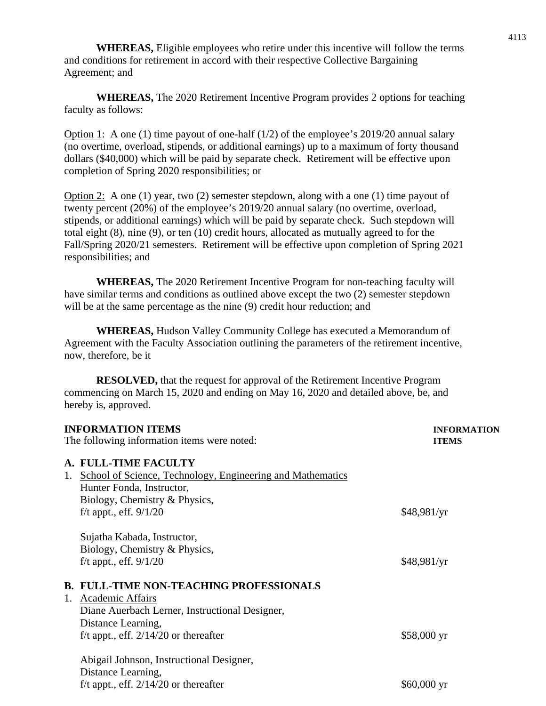**WHEREAS,** Eligible employees who retire under this incentive will follow the terms and conditions for retirement in accord with their respective Collective Bargaining Agreement; and

**WHEREAS,** The 2020 Retirement Incentive Program provides 2 options for teaching faculty as follows:

Option 1: A one (1) time payout of one-half (1/2) of the employee's 2019/20 annual salary (no overtime, overload, stipends, or additional earnings) up to a maximum of forty thousand dollars (\$40,000) which will be paid by separate check. Retirement will be effective upon completion of Spring 2020 responsibilities; or

Option 2: A one (1) year, two (2) semester stepdown, along with a one (1) time payout of twenty percent (20%) of the employee's 2019/20 annual salary (no overtime, overload, stipends, or additional earnings) which will be paid by separate check. Such stepdown will total eight (8), nine (9), or ten (10) credit hours, allocated as mutually agreed to for the Fall/Spring 2020/21 semesters. Retirement will be effective upon completion of Spring 2021 responsibilities; and

**WHEREAS,** The 2020 Retirement Incentive Program for non-teaching faculty will have similar terms and conditions as outlined above except the two (2) semester stepdown will be at the same percentage as the nine  $(9)$  credit hour reduction; and

**WHEREAS,** Hudson Valley Community College has executed a Memorandum of Agreement with the Faculty Association outlining the parameters of the retirement incentive, now, therefore, be it

**RESOLVED,** that the request for approval of the Retirement Incentive Program commencing on March 15, 2020 and ending on May 16, 2020 and detailed above, be, and hereby is, approved.

| <b>INFORMATION ITEMS</b>                    |                                                            | <b>INFORMATION</b>   |  |
|---------------------------------------------|------------------------------------------------------------|----------------------|--|
| The following information items were noted: |                                                            | <b>ITEMS</b>         |  |
|                                             | A. FULL-TIME FACULTY                                       |                      |  |
| 1.                                          | School of Science, Technology, Engineering and Mathematics |                      |  |
|                                             | Hunter Fonda, Instructor,                                  |                      |  |
|                                             | Biology, Chemistry & Physics,                              |                      |  |
|                                             | f/t appt., eff. $9/1/20$                                   | \$48,981/yr          |  |
|                                             | Sujatha Kabada, Instructor,                                |                      |  |
|                                             | Biology, Chemistry & Physics,                              |                      |  |
|                                             | f/t appt., eff. $9/1/20$                                   | \$48,981/yr          |  |
|                                             | <b>B. FULL-TIME NON-TEACHING PROFESSIONALS</b>             |                      |  |
| 1.                                          | <b>Academic Affairs</b>                                    |                      |  |
|                                             | Diane Auerbach Lerner, Instructional Designer,             |                      |  |
|                                             | Distance Learning,                                         |                      |  |
|                                             | f/t appt., eff. $2/14/20$ or thereafter                    | \$58,000 yr          |  |
|                                             | Abigail Johnson, Instructional Designer,                   |                      |  |
|                                             | Distance Learning,                                         |                      |  |
|                                             | f/t appt., eff. $2/14/20$ or thereafter                    | $$60,000 \text{ yr}$ |  |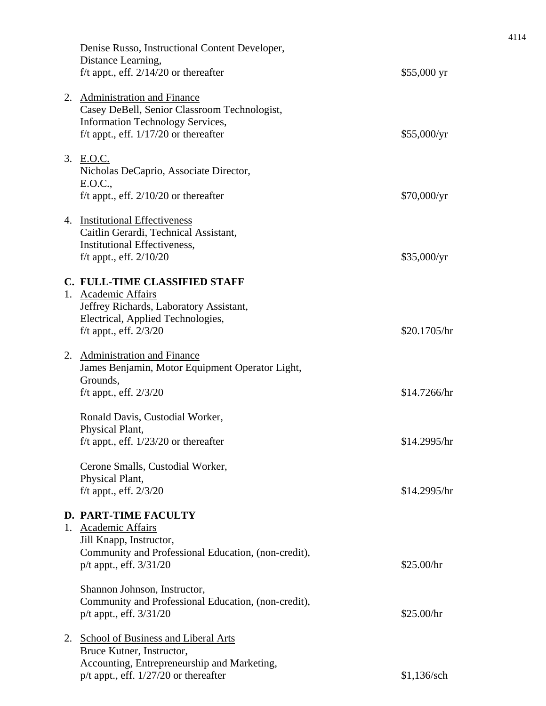|    | Denise Russo, Instructional Content Developer,<br>Distance Learning,<br>f/t appt., eff. $2/14/20$ or thereafter                                                     | $$55,000 \text{ yr}$ |
|----|---------------------------------------------------------------------------------------------------------------------------------------------------------------------|----------------------|
|    | 2. Administration and Finance<br>Casey DeBell, Senior Classroom Technologist,<br><b>Information Technology Services,</b><br>f/t appt., eff. $1/17/20$ or thereafter | \$55,000/yr          |
|    | 3. E.O.C.<br>Nicholas DeCaprio, Associate Director,<br>E.O.C.,<br>f/t appt., eff. $2/10/20$ or thereafter                                                           | \$70,000/yr          |
|    | 4. Institutional Effectiveness<br>Caitlin Gerardi, Technical Assistant,<br>Institutional Effectiveness,<br>f/t appt., eff. $2/10/20$                                | \$35,000/yr          |
|    | C. FULL-TIME CLASSIFIED STAFF                                                                                                                                       |                      |
|    | 1. Academic Affairs<br>Jeffrey Richards, Laboratory Assistant,<br>Electrical, Applied Technologies,<br>f/t appt., eff. $2/3/20$                                     | \$20.1705/hr         |
|    | 2. Administration and Finance<br>James Benjamin, Motor Equipment Operator Light,<br>Grounds,<br>f/t appt., eff. $2/3/20$                                            | \$14.7266/hr         |
|    | Ronald Davis, Custodial Worker,<br>Physical Plant,<br>f/t appt., eff. $1/23/20$ or thereafter                                                                       | \$14.2995/hr         |
|    | Cerone Smalls, Custodial Worker,<br>Physical Plant,<br>f/t appt., eff. $2/3/20$                                                                                     | \$14.2995/hr         |
| 1. | <b>D. PART-TIME FACULTY</b><br>Academic Affairs<br>Jill Knapp, Instructor,<br>Community and Professional Education, (non-credit),<br>p/t appt., eff. 3/31/20        | \$25.00/hr           |
|    | Shannon Johnson, Instructor,<br>Community and Professional Education, (non-credit),<br>p/t appt., eff. 3/31/20                                                      | \$25.00/hr           |
| 2. | <b>School of Business and Liberal Arts</b><br>Bruce Kutner, Instructor,<br>Accounting, Entrepreneurship and Marketing,<br>$p/t$ appt., eff. $1/27/20$ or thereafter | \$1,136/sch          |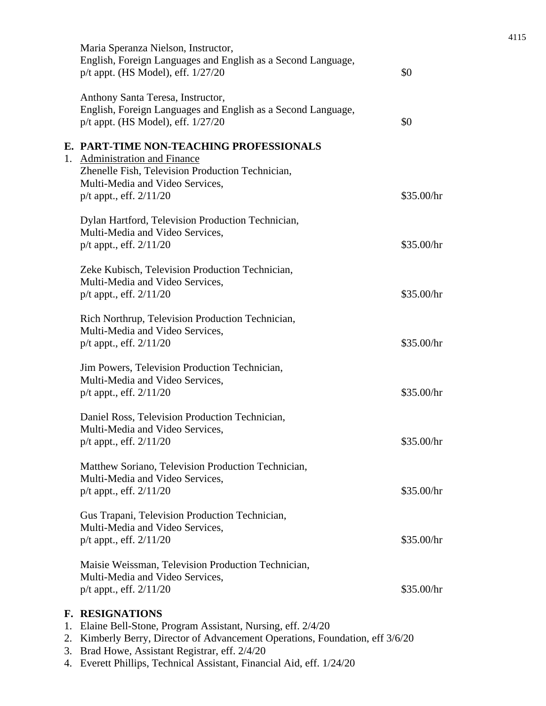| Maria Speranza Nielson, Instructor,<br>English, Foreign Languages and English as a Second Language,<br>p/t appt. (HS Model), eff. $1/27/20$                                                    | \$0        |
|------------------------------------------------------------------------------------------------------------------------------------------------------------------------------------------------|------------|
| Anthony Santa Teresa, Instructor,<br>English, Foreign Languages and English as a Second Language,<br>p/t appt. (HS Model), eff. $1/27/20$                                                      | \$0        |
| E. PART-TIME NON-TEACHING PROFESSIONALS<br>1. Administration and Finance<br>Zhenelle Fish, Television Production Technician,<br>Multi-Media and Video Services,<br>$p/t$ appt., eff. $2/11/20$ | \$35.00/hr |
| Dylan Hartford, Television Production Technician,<br>Multi-Media and Video Services,<br>p/t appt., eff. 2/11/20                                                                                | \$35.00/hr |
| Zeke Kubisch, Television Production Technician,<br>Multi-Media and Video Services,<br>$p/t$ appt., eff. $2/11/20$                                                                              | \$35.00/hr |
| Rich Northrup, Television Production Technician,<br>Multi-Media and Video Services,<br>p/t appt., eff. $2/11/20$                                                                               | \$35.00/hr |
| Jim Powers, Television Production Technician,<br>Multi-Media and Video Services,<br>$p/t$ appt., eff. $2/11/20$                                                                                | \$35.00/hr |
| Daniel Ross, Television Production Technician,<br>Multi-Media and Video Services,<br>$p/t$ appt., eff. $2/11/20$                                                                               | \$35.00/hr |
| Matthew Soriano, Television Production Technician,<br>Multi-Media and Video Services,<br>$p/t$ appt., eff. $2/11/20$                                                                           | \$35.00/hr |
| Gus Trapani, Television Production Technician,<br>Multi-Media and Video Services,<br>$p/t$ appt., eff. $2/11/20$                                                                               | \$35.00/hr |
| Maisie Weissman, Television Production Technician,<br>Multi-Media and Video Services,<br>$p/t$ appt., eff. $2/11/20$                                                                           | \$35.00/hr |
| <b>F. RESIGNATIONS</b>                                                                                                                                                                         |            |

- 1. Elaine Bell-Stone, Program Assistant, Nursing, eff. 2/4/20
- 2. Kimberly Berry, Director of Advancement Operations, Foundation, eff 3/6/20
- 3. Brad Howe, Assistant Registrar, eff. 2/4/20
- 4. Everett Phillips, Technical Assistant, Financial Aid, eff. 1/24/20